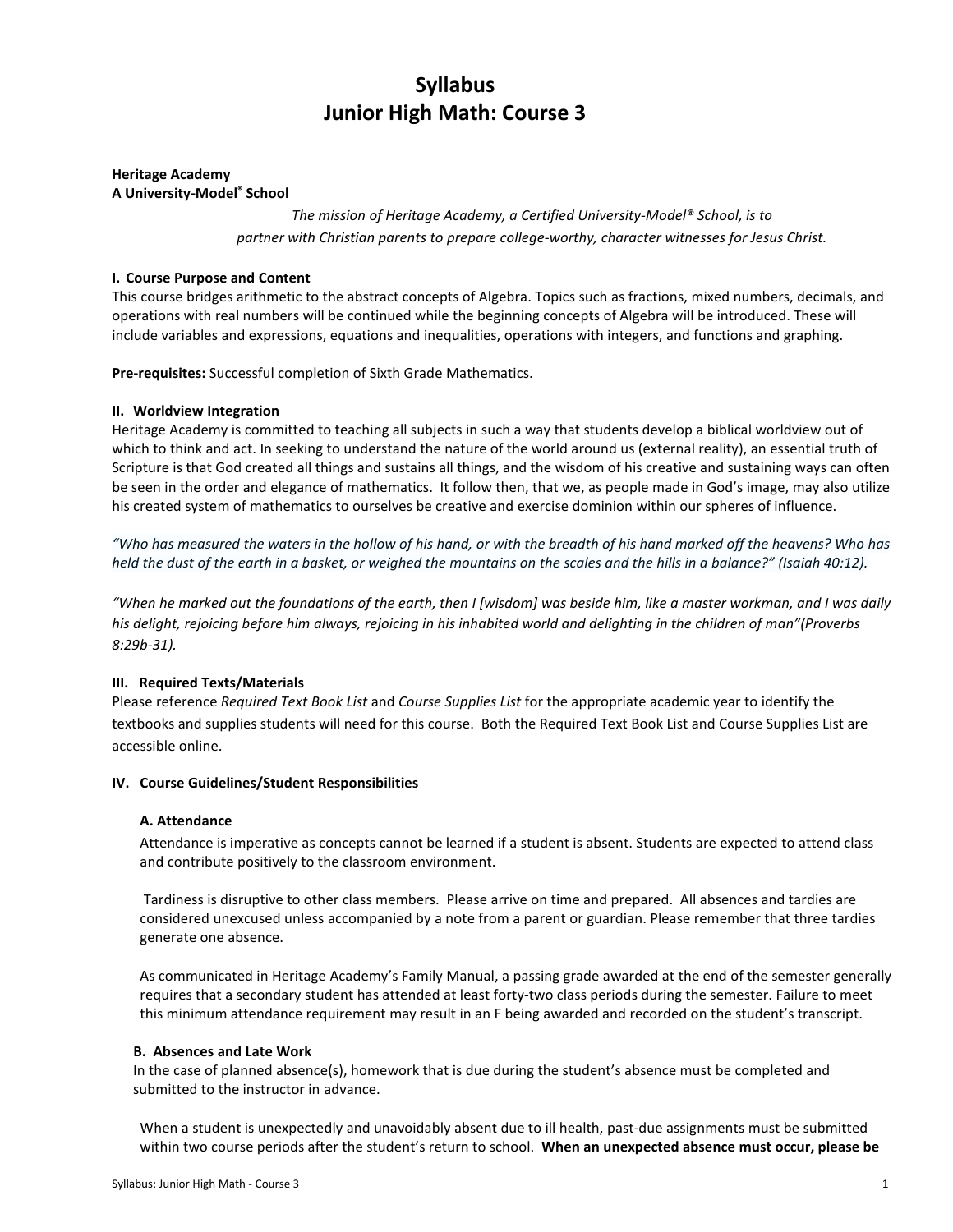# Syllabus Junior High Math: Course 3

# Heritage Academy A University-Model® School

The mission of Heritage Academy, a Certified University-Model® School, is to partner with Christian parents to prepare college-worthy, character witnesses for Jesus Christ.

## I. Course Purpose and Content

This course bridges arithmetic to the abstract concepts of Algebra. Topics such as fractions, mixed numbers, decimals, and operations with real numbers will be continued while the beginning concepts of Algebra will be introduced. These will include variables and expressions, equations and inequalities, operations with integers, and functions and graphing.

Pre-requisites: Successful completion of Sixth Grade Mathematics.

# II. Worldview Integration

Heritage Academy is committed to teaching all subjects in such a way that students develop a biblical worldview out of which to think and act. In seeking to understand the nature of the world around us (external reality), an essential truth of Scripture is that God created all things and sustains all things, and the wisdom of his creative and sustaining ways can often be seen in the order and elegance of mathematics. It follow then, that we, as people made in God's image, may also utilize his created system of mathematics to ourselves be creative and exercise dominion within our spheres of influence.

"Who has measured the waters in the hollow of his hand, or with the breadth of his hand marked off the heavens? Who has held the dust of the earth in a basket, or weighed the mountains on the scales and the hills in a balance?" (Isaiah 40:12).

"When he marked out the foundations of the earth, then I [wisdom] was beside him, like a master workman, and I was daily his delight, rejoicing before him always, rejoicing in his inhabited world and delighting in the children of man"(Proverbs 8:29b-31).

## III. Required Texts/Materials

Please reference Required Text Book List and Course Supplies List for the appropriate academic year to identify the textbooks and supplies students will need for this course. Both the Required Text Book List and Course Supplies List are accessible online.

## IV. Course Guidelines/Student Responsibilities

## A. Attendance

Attendance is imperative as concepts cannot be learned if a student is absent. Students are expected to attend class and contribute positively to the classroom environment.

 Tardiness is disruptive to other class members. Please arrive on time and prepared. All absences and tardies are considered unexcused unless accompanied by a note from a parent or guardian. Please remember that three tardies generate one absence.

As communicated in Heritage Academy's Family Manual, a passing grade awarded at the end of the semester generally requires that a secondary student has attended at least forty-two class periods during the semester. Failure to meet this minimum attendance requirement may result in an F being awarded and recorded on the student's transcript.

## B. Absences and Late Work

In the case of planned absence(s), homework that is due during the student's absence must be completed and submitted to the instructor in advance.

When a student is unexpectedly and unavoidably absent due to ill health, past-due assignments must be submitted within two course periods after the student's return to school. When an unexpected absence must occur, please be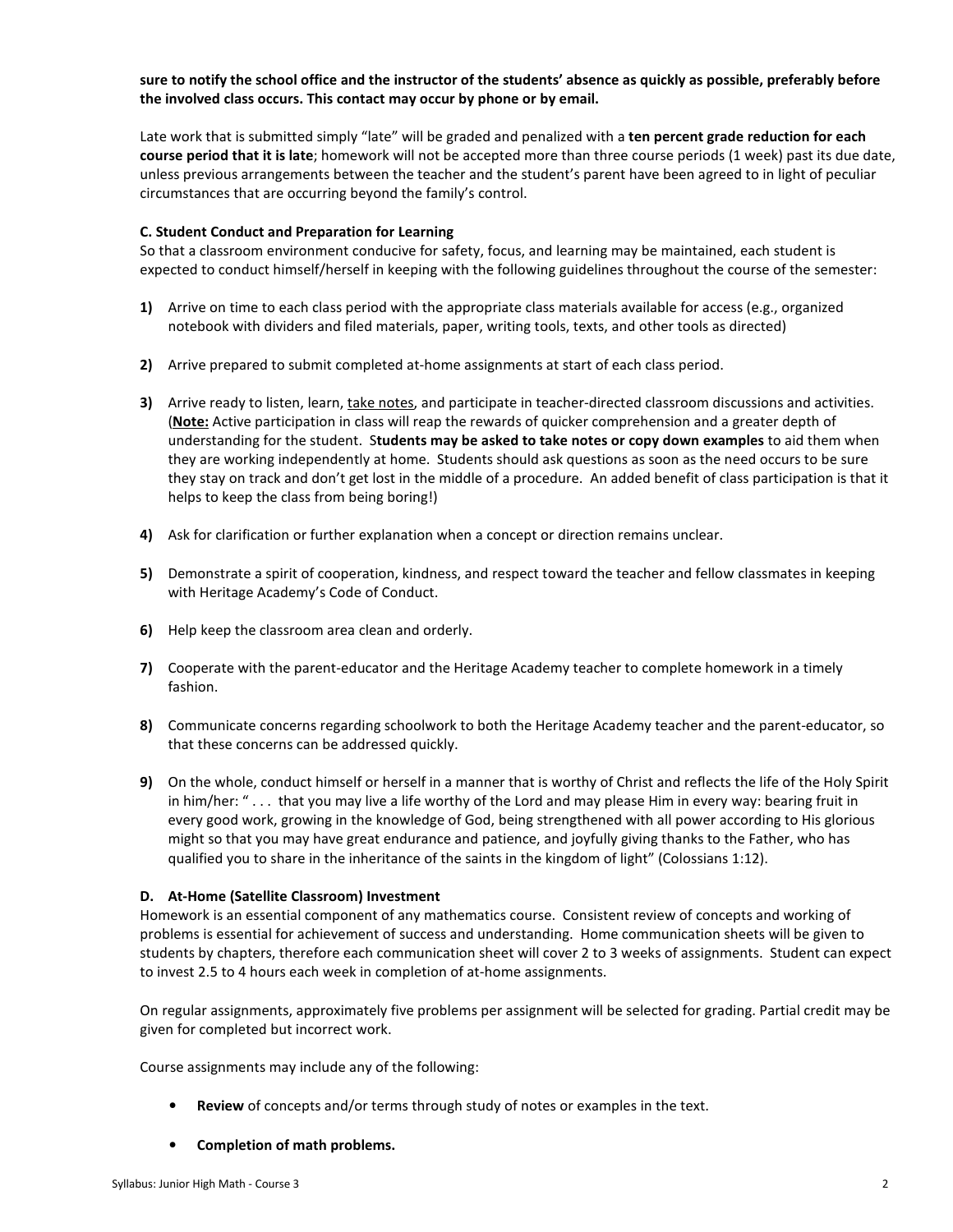# sure to notify the school office and the instructor of the students' absence as quickly as possible, preferably before the involved class occurs. This contact may occur by phone or by email.

Late work that is submitted simply "late" will be graded and penalized with a ten percent grade reduction for each course period that it is late; homework will not be accepted more than three course periods (1 week) past its due date, unless previous arrangements between the teacher and the student's parent have been agreed to in light of peculiar circumstances that are occurring beyond the family's control.

## C. Student Conduct and Preparation for Learning

So that a classroom environment conducive for safety, focus, and learning may be maintained, each student is expected to conduct himself/herself in keeping with the following guidelines throughout the course of the semester:

- 1) Arrive on time to each class period with the appropriate class materials available for access (e.g., organized notebook with dividers and filed materials, paper, writing tools, texts, and other tools as directed)
- 2) Arrive prepared to submit completed at-home assignments at start of each class period.
- 3) Arrive ready to listen, learn, take notes, and participate in teacher-directed classroom discussions and activities. (Note: Active participation in class will reap the rewards of quicker comprehension and a greater depth of understanding for the student. Students may be asked to take notes or copy down examples to aid them when they are working independently at home. Students should ask questions as soon as the need occurs to be sure they stay on track and don't get lost in the middle of a procedure. An added benefit of class participation is that it helps to keep the class from being boring!)
- 4) Ask for clarification or further explanation when a concept or direction remains unclear.
- 5) Demonstrate a spirit of cooperation, kindness, and respect toward the teacher and fellow classmates in keeping with Heritage Academy's Code of Conduct.
- 6) Help keep the classroom area clean and orderly.
- 7) Cooperate with the parent-educator and the Heritage Academy teacher to complete homework in a timely fashion.
- 8) Communicate concerns regarding schoolwork to both the Heritage Academy teacher and the parent-educator, so that these concerns can be addressed quickly.
- 9) On the whole, conduct himself or herself in a manner that is worthy of Christ and reflects the life of the Holy Spirit in him/her: " . . . that you may live a life worthy of the Lord and may please Him in every way: bearing fruit in every good work, growing in the knowledge of God, being strengthened with all power according to His glorious might so that you may have great endurance and patience, and joyfully giving thanks to the Father, who has qualified you to share in the inheritance of the saints in the kingdom of light" (Colossians 1:12).

# D. At-Home (Satellite Classroom) Investment

Homework is an essential component of any mathematics course. Consistent review of concepts and working of problems is essential for achievement of success and understanding. Home communication sheets will be given to students by chapters, therefore each communication sheet will cover 2 to 3 weeks of assignments. Student can expect to invest 2.5 to 4 hours each week in completion of at-home assignments.

On regular assignments, approximately five problems per assignment will be selected for grading. Partial credit may be given for completed but incorrect work.

Course assignments may include any of the following:

- Review of concepts and/or terms through study of notes or examples in the text.
- Completion of math problems.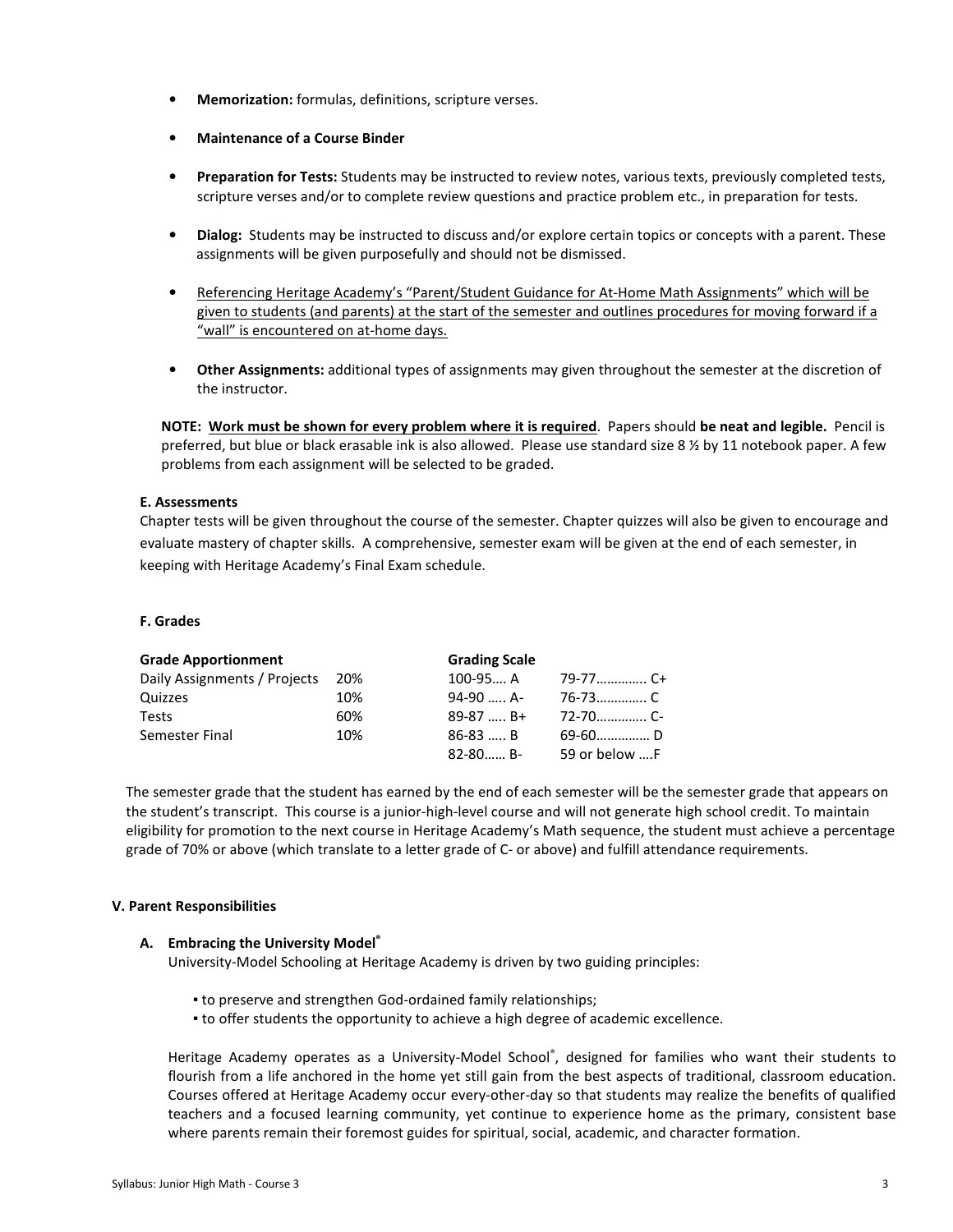- Memorization: formulas, definitions, scripture verses.
- Maintenance of a Course Binder
- Preparation for Tests: Students may be instructed to review notes, various texts, previously completed tests, scripture verses and/or to complete review questions and practice problem etc., in preparation for tests.
- Dialog: Students may be instructed to discuss and/or explore certain topics or concepts with a parent. These assignments will be given purposefully and should not be dismissed.
- Referencing Heritage Academy's "Parent/Student Guidance for At-Home Math Assignments" which will be given to students (and parents) at the start of the semester and outlines procedures for moving forward if a "wall" is encountered on at-home days.
- Other Assignments: additional types of assignments may given throughout the semester at the discretion of the instructor.

NOTE: Work must be shown for every problem where it is required. Papers should be neat and legible. Pencil is preferred, but blue or black erasable ink is also allowed. Please use standard size 8 % by 11 notebook paper. A few problems from each assignment will be selected to be graded.

# E. Assessments

Chapter tests will be given throughout the course of the semester. Chapter quizzes will also be given to encourage and evaluate mastery of chapter skills. A comprehensive, semester exam will be given at the end of each semester, in keeping with Heritage Academy's Final Exam schedule.

## F. Grades

| <b>Grade Apportionment</b>   |     | <b>Grading Scale</b> |               |
|------------------------------|-----|----------------------|---------------|
| Daily Assignments / Projects | 20% | $100 - 95 A$         | 79-77…………… C+ |
| Quizzes                      | 10% | 94-90  A-            | 76-73…………… C  |
| <b>Tests</b>                 | 60% | $89-87$ B+           | 72-70………… C-  |
| Semester Final               | 10% | $86-83$ B            |               |
|                              |     | $82 - 80$ B-         | 59 or below F |

The semester grade that the student has earned by the end of each semester will be the semester grade that appears on the student's transcript. This course is a junior-high-level course and will not generate high school credit. To maintain eligibility for promotion to the next course in Heritage Academy's Math sequence, the student must achieve a percentage grade of 70% or above (which translate to a letter grade of C- or above) and fulfill attendance requirements.

## V. Parent Responsibilities

## A. Embracing the University Model®

University-Model Schooling at Heritage Academy is driven by two guiding principles:

- to preserve and strengthen God-ordained family relationships;
- to offer students the opportunity to achieve a high degree of academic excellence.

Heritage Academy operates as a University-Model School® , designed for families who want their students to flourish from a life anchored in the home yet still gain from the best aspects of traditional, classroom education. Courses offered at Heritage Academy occur every-other-day so that students may realize the benefits of qualified teachers and a focused learning community, yet continue to experience home as the primary, consistent base where parents remain their foremost guides for spiritual, social, academic, and character formation.